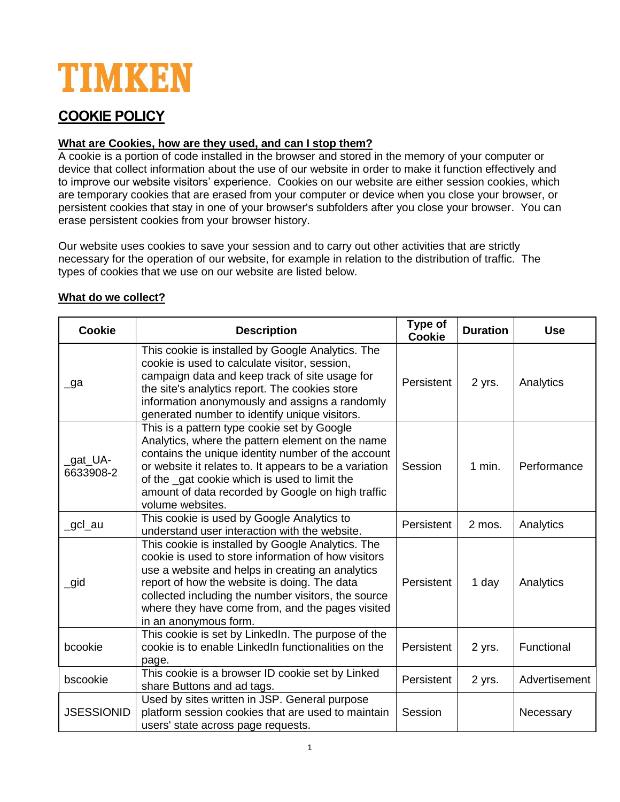# TIMKEN

# **COOKIE POLICY**

# **What are Cookies, how are they used, and can I stop them?**

A cookie is a portion of code installed in the browser and stored in the memory of your computer or device that collect information about the use of our website in order to make it function effectively and to improve our website visitors' experience. Cookies on our website are either session cookies, which are temporary cookies that are erased from your computer or device when you close your browser, or persistent cookies that stay in one of your browser's subfolders after you close your browser. You can erase persistent cookies from your browser history.

Our website uses cookies to save your session and to carry out other activities that are strictly necessary for the operation of our website, for example in relation to the distribution of traffic. The types of cookies that we use on our website are listed below.

| <b>Cookie</b>         | <b>Description</b>                                                                                                                                                                                                                                                                                                                               | Type of<br><b>Cookie</b> | <b>Duration</b> | <b>Use</b>    |
|-----------------------|--------------------------------------------------------------------------------------------------------------------------------------------------------------------------------------------------------------------------------------------------------------------------------------------------------------------------------------------------|--------------------------|-----------------|---------------|
| _ga                   | This cookie is installed by Google Analytics. The<br>cookie is used to calculate visitor, session,<br>campaign data and keep track of site usage for<br>the site's analytics report. The cookies store<br>information anonymously and assigns a randomly<br>generated number to identify unique visitors.                                        | Persistent               | 2 yrs.          | Analytics     |
| _gat_UA-<br>6633908-2 | This is a pattern type cookie set by Google<br>Analytics, where the pattern element on the name<br>contains the unique identity number of the account<br>or website it relates to. It appears to be a variation<br>of the gat cookie which is used to limit the<br>amount of data recorded by Google on high traffic<br>volume websites.         | Session                  | $1$ min.        | Performance   |
| _gcl_au               | This cookie is used by Google Analytics to<br>understand user interaction with the website.                                                                                                                                                                                                                                                      | Persistent               | 2 mos.          | Analytics     |
| $\_$ gid              | This cookie is installed by Google Analytics. The<br>cookie is used to store information of how visitors<br>use a website and helps in creating an analytics<br>report of how the website is doing. The data<br>collected including the number visitors, the source<br>where they have come from, and the pages visited<br>in an anonymous form. | Persistent               | 1 day           | Analytics     |
| bcookie               | This cookie is set by LinkedIn. The purpose of the<br>cookie is to enable LinkedIn functionalities on the<br>page.                                                                                                                                                                                                                               | Persistent               | 2 yrs.          | Functional    |
| bscookie              | This cookie is a browser ID cookie set by Linked<br>share Buttons and ad tags.                                                                                                                                                                                                                                                                   | Persistent               | 2 yrs.          | Advertisement |
| <b>JSESSIONID</b>     | Used by sites written in JSP. General purpose<br>platform session cookies that are used to maintain<br>users' state across page requests.                                                                                                                                                                                                        | Session                  |                 | Necessary     |

# **What do we collect?**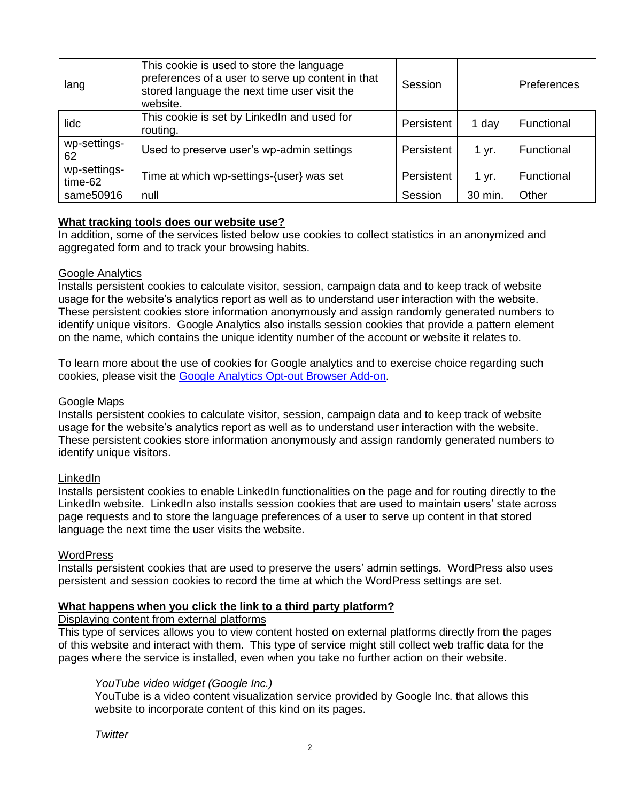| lang                    | This cookie is used to store the language<br>preferences of a user to serve up content in that<br>stored language the next time user visit the<br>website. | Session    |         | <b>Preferences</b> |
|-------------------------|------------------------------------------------------------------------------------------------------------------------------------------------------------|------------|---------|--------------------|
| lidc                    | This cookie is set by LinkedIn and used for<br>routing.                                                                                                    | Persistent | 1 day   | Functional         |
| wp-settings-<br>62      | Used to preserve user's wp-admin settings                                                                                                                  | Persistent | 1 yr.   | Functional         |
| wp-settings-<br>time-62 | Time at which wp-settings-{user} was set                                                                                                                   | Persistent | 1 yr.   | Functional         |
| same50916               | null                                                                                                                                                       | Session    | 30 min. | Other              |

### **What tracking tools does our website use?**

In addition, some of the services listed below use cookies to collect statistics in an anonymized and aggregated form and to track your browsing habits.

#### Google Analytics

Installs persistent cookies to calculate visitor, session, campaign data and to keep track of website usage for the website's analytics report as well as to understand user interaction with the website. These persistent cookies store information anonymously and assign randomly generated numbers to identify unique visitors. Google Analytics also installs session cookies that provide a pattern element on the name, which contains the unique identity number of the account or website it relates to.

To learn more about the use of cookies for Google analytics and to exercise choice regarding such cookies, please visit the [Google Analytics Opt-out Browser Add-on.](https://tools.google.com/dlpage/gaoptout)

#### Google Maps

Installs persistent cookies to calculate visitor, session, campaign data and to keep track of website usage for the website's analytics report as well as to understand user interaction with the website. These persistent cookies store information anonymously and assign randomly generated numbers to identify unique visitors.

#### LinkedIn

Installs persistent cookies to enable LinkedIn functionalities on the page and for routing directly to the LinkedIn website. LinkedIn also installs session cookies that are used to maintain users' state across page requests and to store the language preferences of a user to serve up content in that stored language the next time the user visits the website.

#### WordPress

Installs persistent cookies that are used to preserve the users' admin settings. WordPress also uses persistent and session cookies to record the time at which the WordPress settings are set.

# **What happens when you click the link to a third party platform?**

#### Displaying content from external platforms

This type of services allows you to view content hosted on external platforms directly from the pages of this website and interact with them. This type of service might still collect web traffic data for the pages where the service is installed, even when you take no further action on their website.

#### *YouTube video widget (Google Inc.)*

YouTube is a video content visualization service provided by Google Inc. that allows this website to incorporate content of this kind on its pages.

*Twitter*